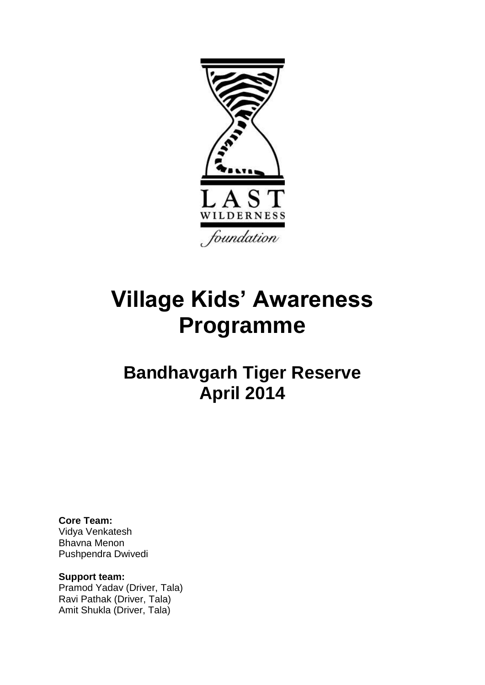

# **Village Kids' Awareness Programme**

## **Bandhavgarh Tiger Reserve April 2014**

**Core Team:** 

Vidya Venkatesh Bhavna Menon Pushpendra Dwivedi

**Support team:** Pramod Yadav (Driver, Tala) Ravi Pathak (Driver, Tala) Amit Shukla (Driver, Tala)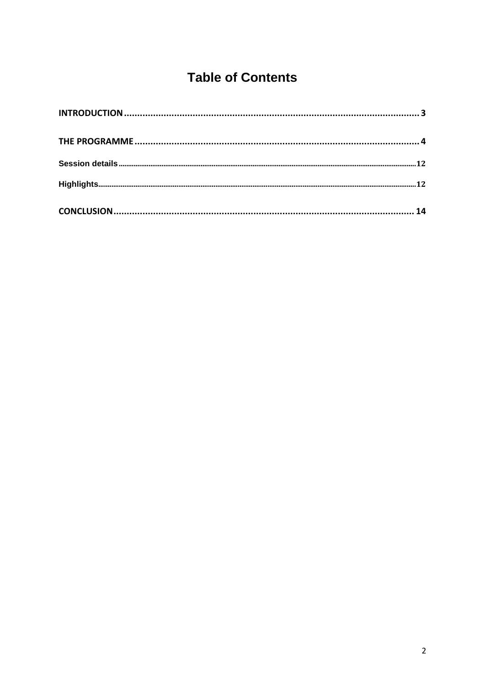### **Table of Contents**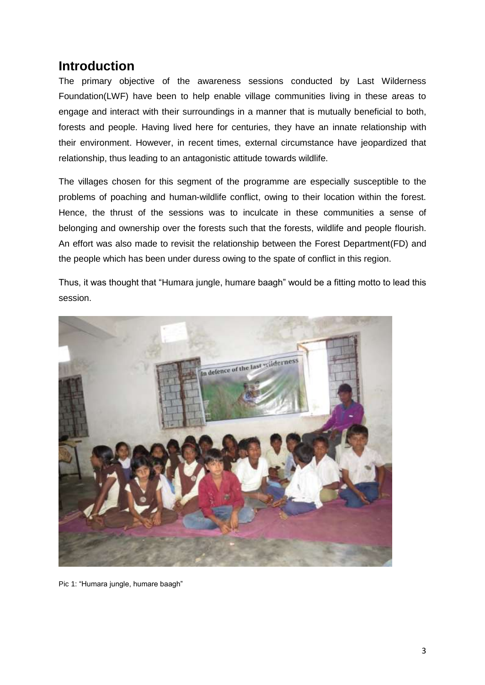#### **Introduction**

The primary objective of the awareness sessions conducted by Last Wilderness Foundation(LWF) have been to help enable village communities living in these areas to engage and interact with their surroundings in a manner that is mutually beneficial to both, forests and people. Having lived here for centuries, they have an innate relationship with their environment. However, in recent times, external circumstance have jeopardized that relationship, thus leading to an antagonistic attitude towards wildlife.

The villages chosen for this segment of the programme are especially susceptible to the problems of poaching and human-wildlife conflict, owing to their location within the forest. Hence, the thrust of the sessions was to inculcate in these communities a sense of belonging and ownership over the forests such that the forests, wildlife and people flourish. An effort was also made to revisit the relationship between the Forest Department(FD) and the people which has been under duress owing to the spate of conflict in this region.

Thus, it was thought that "Humara jungle, humare baagh" would be a fitting motto to lead this session.



Pic 1: "Humara jungle, humare baagh"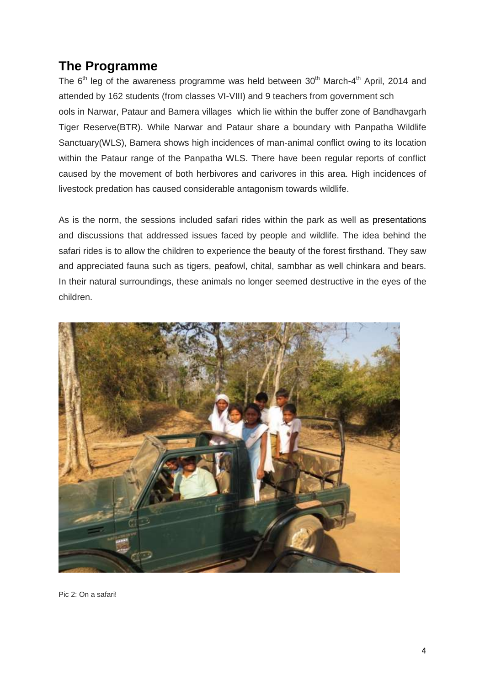#### **The Programme**

The  $6<sup>th</sup>$  leg of the awareness programme was held between  $30<sup>th</sup>$  March-4<sup>th</sup> April, 2014 and attended by 162 students (from classes VI-VIII) and 9 teachers from government sch ools in Narwar, Pataur and Bamera villages which lie within the buffer zone of Bandhavgarh Tiger Reserve(BTR). While Narwar and Pataur share a boundary with Panpatha Wildlife Sanctuary(WLS), Bamera shows high incidences of man-animal conflict owing to its location within the Pataur range of the Panpatha WLS. There have been regular reports of conflict caused by the movement of both herbivores and carivores in this area. High incidences of livestock predation has caused considerable antagonism towards wildlife.

As is the norm, the sessions included safari rides within the park as well as presentations and discussions that addressed issues faced by people and wildlife. The idea behind the safari rides is to allow the children to experience the beauty of the forest firsthand. They saw and appreciated fauna such as tigers, peafowl, chital, sambhar as well chinkara and bears. In their natural surroundings, these animals no longer seemed destructive in the eyes of the children.



Pic 2: On a safari!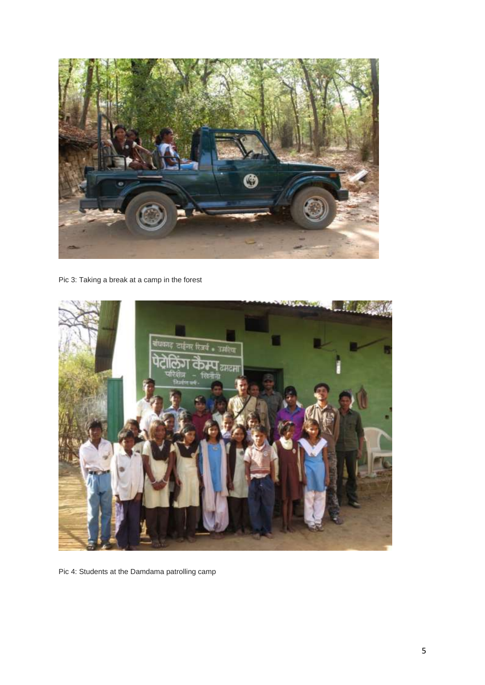

Pic 3: Taking a break at a camp in the forest



Pic 4: Students at the Damdama patrolling camp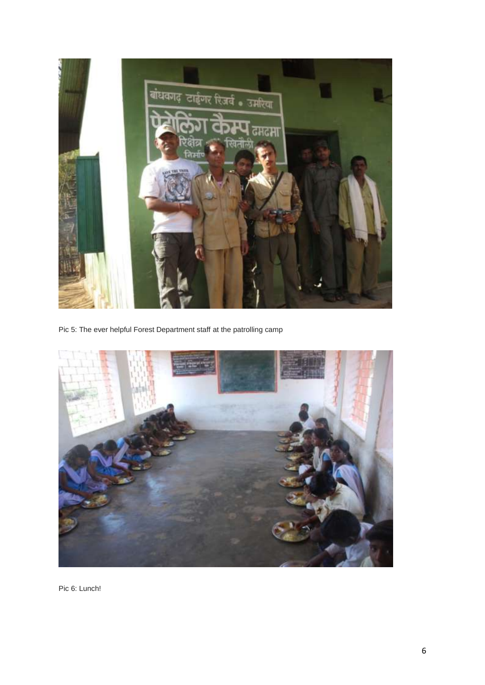

Pic 5: The ever helpful Forest Department staff at the patrolling camp



Pic 6: Lunch!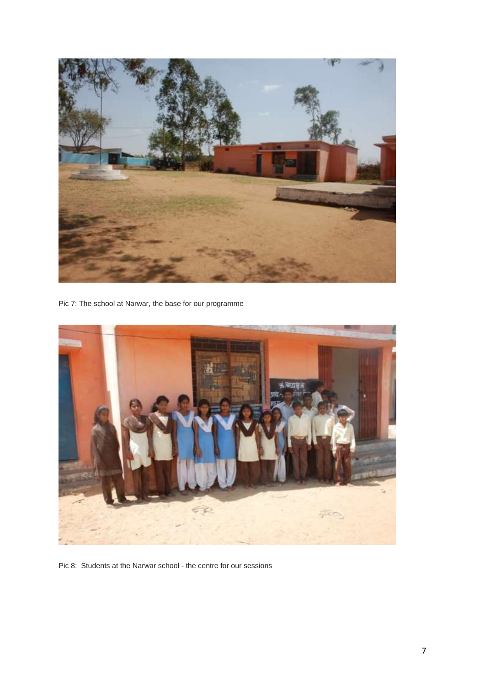

Pic 7: The school at Narwar, the base for our programme



Pic 8: Students at the Narwar school - the centre for our sessions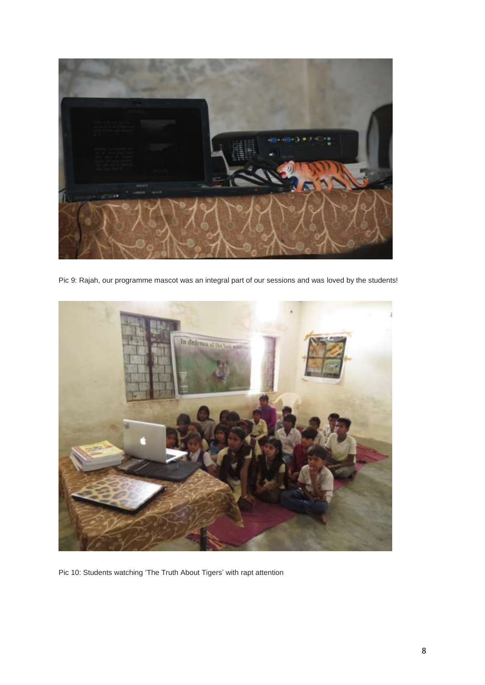

Pic 9: Rajah, our programme mascot was an integral part of our sessions and was loved by the students!



Pic 10: Students watching 'The Truth About Tigers' with rapt attention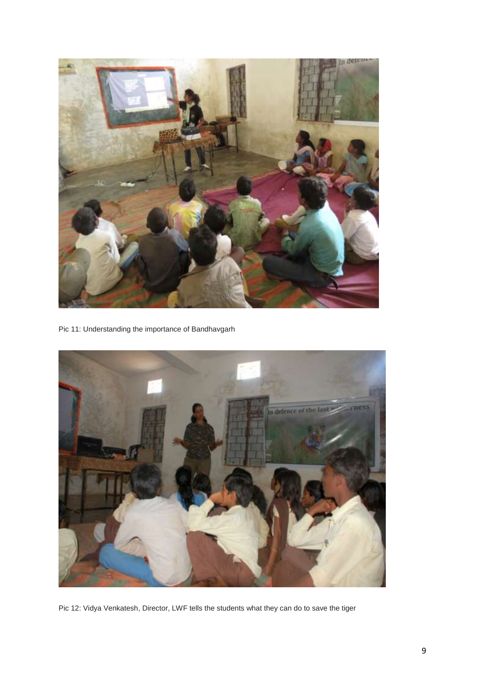

Pic 11: Understanding the importance of Bandhavgarh



Pic 12: Vidya Venkatesh, Director, LWF tells the students what they can do to save the tiger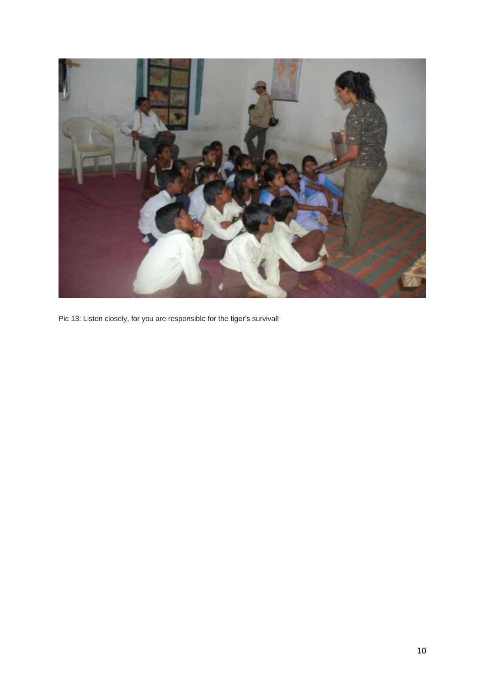

Pic 13: Listen closely, for you are responsible for the tiger's survival!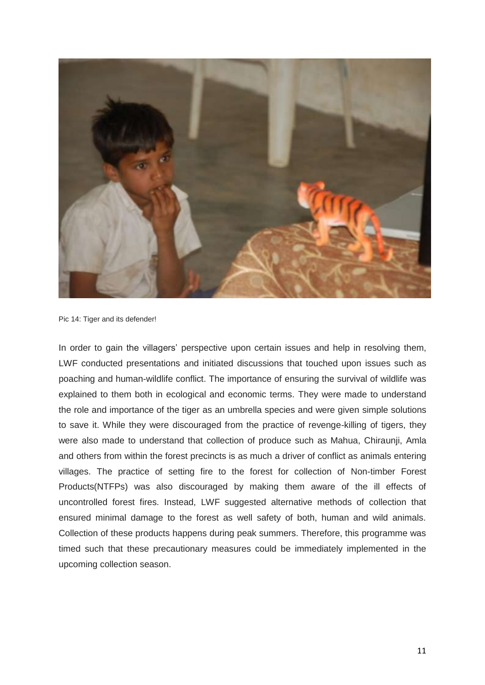

Pic 14: Tiger and its defender!

In order to gain the villagers' perspective upon certain issues and help in resolving them, LWF conducted presentations and initiated discussions that touched upon issues such as poaching and human-wildlife conflict. The importance of ensuring the survival of wildlife was explained to them both in ecological and economic terms. They were made to understand the role and importance of the tiger as an umbrella species and were given simple solutions to save it. While they were discouraged from the practice of revenge-killing of tigers, they were also made to understand that collection of produce such as Mahua, Chiraunji, Amla and others from within the forest precincts is as much a driver of conflict as animals entering villages. The practice of setting fire to the forest for collection of Non-timber Forest Products(NTFPs) was also discouraged by making them aware of the ill effects of uncontrolled forest fires. Instead, LWF suggested alternative methods of collection that ensured minimal damage to the forest as well safety of both, human and wild animals. Collection of these products happens during peak summers. Therefore, this programme was timed such that these precautionary measures could be immediately implemented in the upcoming collection season.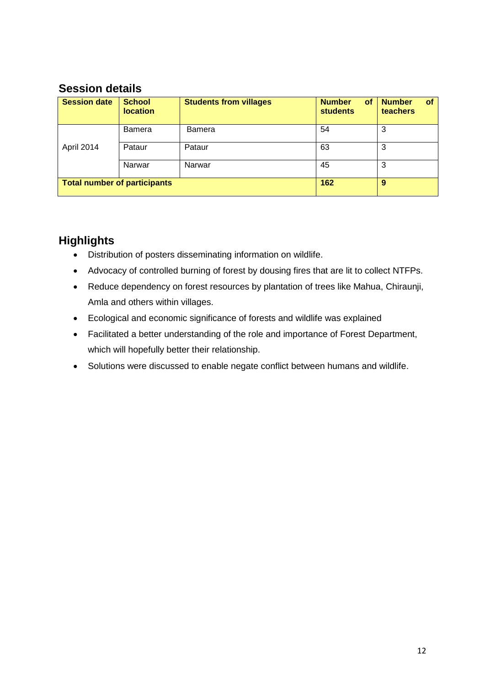#### **Session details**

| <b>Session date</b>                 | <b>School</b><br><b>location</b> | <b>Students from villages</b> | <b>Number</b><br><b>of</b><br><b>students</b> | <b>Number</b><br><b>of</b><br>teachers |
|-------------------------------------|----------------------------------|-------------------------------|-----------------------------------------------|----------------------------------------|
| April 2014                          | Bamera                           | <b>Bamera</b>                 | 54                                            | 3                                      |
|                                     | Pataur                           | Pataur                        | 63                                            | 3                                      |
|                                     | Narwar                           | Narwar                        | 45                                            | 3                                      |
| <b>Total number of participants</b> |                                  |                               | 162                                           | 9                                      |

#### **Highlights**

- Distribution of posters disseminating information on wildlife.
- Advocacy of controlled burning of forest by dousing fires that are lit to collect NTFPs.
- Reduce dependency on forest resources by plantation of trees like Mahua, Chiraunji, Amla and others within villages.
- Ecological and economic significance of forests and wildlife was explained
- Facilitated a better understanding of the role and importance of Forest Department, which will hopefully better their relationship.
- Solutions were discussed to enable negate conflict between humans and wildlife.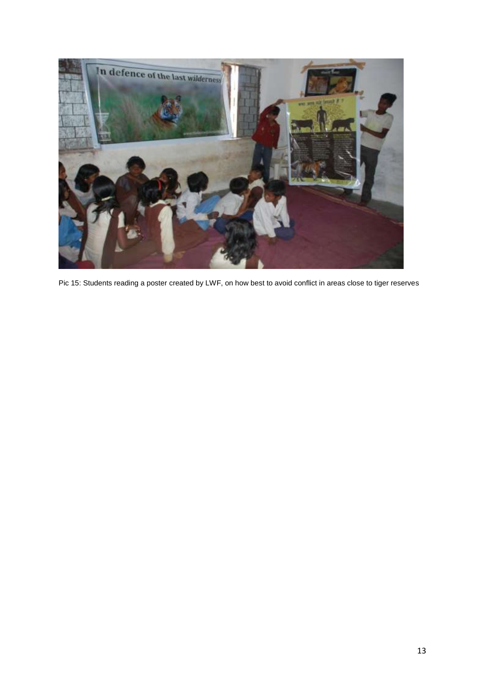![](_page_12_Picture_0.jpeg)

Pic 15: Students reading a poster created by LWF, on how best to avoid conflict in areas close to tiger reserves